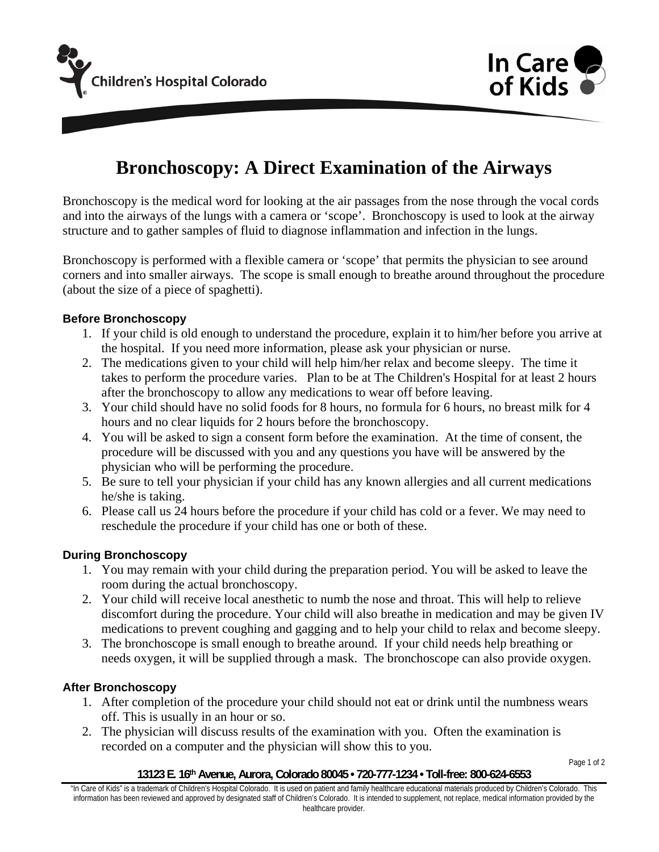



# **Bronchoscopy: A Direct Examination of the Airways**

Bronchoscopy is the medical word for looking at the air passages from the nose through the vocal cords and into the airways of the lungs with a camera or 'scope'. Bronchoscopy is used to look at the airway structure and to gather samples of fluid to diagnose inflammation and infection in the lungs.

Bronchoscopy is performed with a flexible camera or 'scope' that permits the physician to see around corners and into smaller airways. The scope is small enough to breathe around throughout the procedure (about the size of a piece of spaghetti).

# **Before Bronchoscopy**

- 1. If your child is old enough to understand the procedure, explain it to him/her before you arrive at the hospital. If you need more information, please ask your physician or nurse.
- 2. The medications given to your child will help him/her relax and become sleepy. The time it takes to perform the procedure varies. Plan to be at The Children's Hospital for at least 2 hours after the bronchoscopy to allow any medications to wear off before leaving.
- 3. Your child should have no solid foods for 8 hours, no formula for 6 hours, no breast milk for 4 hours and no clear liquids for 2 hours before the bronchoscopy.
- 4. You will be asked to sign a consent form before the examination. At the time of consent, the procedure will be discussed with you and any questions you have will be answered by the physician who will be performing the procedure.
- 5. Be sure to tell your physician if your child has any known allergies and all current medications he/she is taking.
- 6. Please call us 24 hours before the procedure if your child has cold or a fever. We may need to reschedule the procedure if your child has one or both of these.

### **During Bronchoscopy**

- 1. You may remain with your child during the preparation period. You will be asked to leave the room during the actual bronchoscopy.
- 2. Your child will receive local anesthetic to numb the nose and throat. This will help to relieve discomfort during the procedure. Your child will also breathe in medication and may be given IV medications to prevent coughing and gagging and to help your child to relax and become sleepy.
- 3. The bronchoscope is small enough to breathe around. If your child needs help breathing or needs oxygen, it will be supplied through a mask. The bronchoscope can also provide oxygen.

### **After Bronchoscopy**

- 1. After completion of the procedure your child should not eat or drink until the numbness wears off. This is usually in an hour or so.
- 2. The physician will discuss results of the examination with you. Often the examination is recorded on a computer and the physician will show this to you.

Page 1 of 2

#### **13123 E. 16th Avenue, Aurora, Colorado 80045 • 720-777-1234 • Toll-free: 800-624-6553**

"In Care of Kids" is a trademark of Children's Hospital Colorado. It is used on patient and family healthcare educational materials produced by Children's Colorado. This information has been reviewed and approved by designated staff of Children's Colorado. It is intended to supplement, not replace, medical information provided by the healthcare provider.